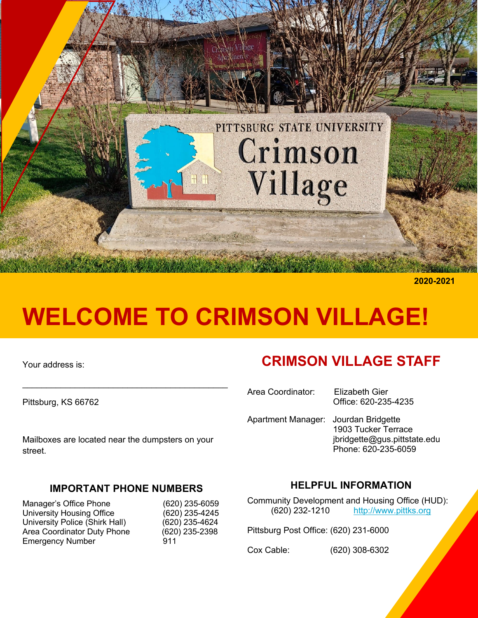

**2020-2021**

# **WELCOME TO CRIMSON VILLAGE!**

Your address is:

Pittsburg, KS 66762

Mailboxes are located near the dumpsters on your street.

#### **IMPORTANT PHONE NUMBERS**

Manager's Office Phone (620) 235-6059<br>University Housing Office (620) 235-4245 University Housing Office (620) 235-4245<br>University Police (Shirk Hall) (620) 235-4624 University Police (Shirk Hall) Area Coordinator Duty Phone (620) 235-2398 Emergency Number 911

# **CRIMSON VILLAGE STAFF**

Area Coordinator: Elizabeth Gier Office: 620-235-4235 Apartment Manager: Jourdan Bridgette 1903 Tucker Terrace jbridgette@gus.pittstate.edu Phone: 620-235-6059

#### **HELPFUL INFORMATION**

Community Development and Housing Office (HUD): (620) 232-1210 http://www.pittks.org

Pittsburg Post Office: (620) 231-6000

Cox Cable: (620) 308-6302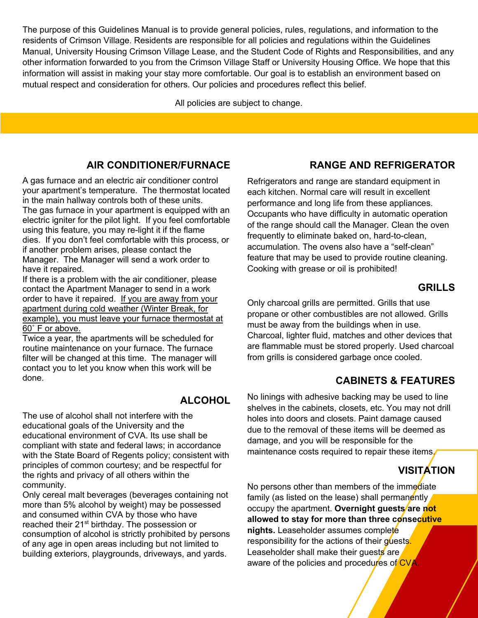The purpose of this Guidelines Manual is to provide general policies, rules, regulations, and information to the residents of Crimson Village. Residents are responsible for all policies and regulations within the Guidelines Manual, University Housing Crimson Village Lease, and the Student Code of Rights and Responsibilities, and any other information forwarded to you from the Crimson Village Staff or University Housing Office. We hope that this information will assist in making your stay more comfortable. Our goal is to establish an environment based on mutual respect and consideration for others. Our policies and procedures reflect this belief.

All policies are subject to change.

#### **AIR CONDITIONER/FURNACE**

A gas furnace and an electric air conditioner control your apartment's temperature. The thermostat located in the main hallway controls both of these units. The gas furnace in your apartment is equipped with an electric igniter for the pilot light. If you feel comfortable using this feature, you may re-light it if the flame dies. If you don't feel comfortable with this process, or if another problem arises, please contact the Manager. The Manager will send a work order to have it repaired.

If there is a problem with the air conditioner, please contact the Apartment Manager to send in a work order to have it repaired. If you are away from your apartment during cold weather (Winter Break, for example), you must leave your furnace thermostat at 60˚ F or above.

Twice a year, the apartments will be scheduled for routine maintenance on your furnace. The furnace filter will be changed at this time. The manager will contact you to let you know when this work will be done.

#### **ALCOHOL**

The use of alcohol shall not interfere with the educational goals of the University and the educational environment of CVA. Its use shall be compliant with state and federal laws; in accordance with the State Board of Regents policy; consistent with principles of common courtesy; and be respectful for the rights and privacy of all others within the community.

Only cereal malt beverages (beverages containing not more than 5% alcohol by weight) may be possessed and consumed within CVA by those who have reached their 21<sup>st</sup> birthday. The possession or consumption of alcohol is strictly prohibited by persons of any age in open areas including but not limited to building exteriors, playgrounds, driveways, and yards.

#### **RANGE AND REFRIGERATOR**

Refrigerators and range are standard equipment in each kitchen. Normal care will result in excellent performance and long life from these appliances. Occupants who have difficulty in automatic operation of the range should call the Manager. Clean the oven frequently to eliminate baked on, hard-to-clean, accumulation. The ovens also have a "self-clean" feature that may be used to provide routine cleaning. Cooking with grease or oil is prohibited!

#### **GRILLS**

Only charcoal grills are permitted. Grills that use propane or other combustibles are not allowed. Grills must be away from the buildings when in use. Charcoal, lighter fluid, matches and other devices that are flammable must be stored properly. Used charcoal from grills is considered garbage once cooled.

#### **CABINETS & FEATURES**

No linings with adhesive backing may be used to line shelves in the cabinets, closets, etc. You may not drill holes into doors and closets. Paint damage caused due to the removal of these items will be deemed as damage, and you will be responsible for the maintenance costs required to repair these items.

# **VISITATION**

No persons other than members of the immediate family (as listed on the lease) shall permanently occupy the apartment. Overnight guests are not **allowed to stay for more than three consecutive nights.** Leaseholder assumes complete responsibility for the actions of their guests. Leaseholder shall make their quests are aware of the policies and procedures of CVA.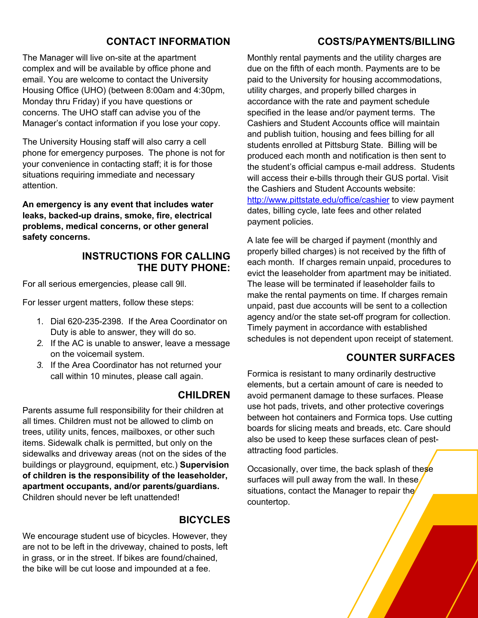#### **CONTACT INFORMATION**

The Manager will live on-site at the apartment complex and will be available by office phone and email. You are welcome to contact the University Housing Office (UHO) (between 8:00am and 4:30pm, Monday thru Friday) if you have questions or concerns. The UHO staff can advise you of the Manager's contact information if you lose your copy.

The University Housing staff will also carry a cell phone for emergency purposes. The phone is not for your convenience in contacting staff; it is for those situations requiring immediate and necessary attention.

**An emergency is any event that includes water leaks, backed-up drains, smoke, fire, electrical problems, medical concerns, or other general safety concerns.** 

#### **INSTRUCTIONS FOR CALLING THE DUTY PHONE:**

For all serious emergencies, please call 9ll.

For lesser urgent matters, follow these steps:

- 1. Dial 620-235-2398. If the Area Coordinator on Duty is able to answer, they will do so.
- *2.* If the AC is unable to answer, leave a message on the voicemail system.
- *3.* If the Area Coordinator has not returned your call within 10 minutes, please call again.

#### **CHILDREN**

Parents assume full responsibility for their children at all times. Children must not be allowed to climb on trees, utility units, fences, mailboxes, or other such items. Sidewalk chalk is permitted, but only on the sidewalks and driveway areas (not on the sides of the buildings or playground, equipment, etc.) **Supervision of children is the responsibility of the leaseholder, apartment occupants, and/or parents/guardians.** Children should never be left unattended!

#### **BICYCLES**

We encourage student use of bicycles. However, they are not to be left in the driveway, chained to posts, left in grass, or in the street. If bikes are found/chained, the bike will be cut loose and impounded at a fee.

#### **COSTS/PAYMENTS/BILLING**

Monthly rental payments and the utility charges are due on the fifth of each month. Payments are to be paid to the University for housing accommodations, utility charges, and properly billed charges in accordance with the rate and payment schedule specified in the lease and/or payment terms. The Cashiers and Student Accounts office will maintain and publish tuition, housing and fees billing for all students enrolled at Pittsburg State. Billing will be produced each month and notification is then sent to the student's official campus e-mail address. Students will access their e-bills through their GUS portal. Visit the Cashiers and Student Accounts website: http://www.pittstate.edu/office/cashier to view payment dates, billing cycle, late fees and other related payment policies.

A late fee will be charged if payment (monthly and properly billed charges) is not received by the fifth of each month. If charges remain unpaid, procedures to evict the leaseholder from apartment may be initiated. The lease will be terminated if leaseholder fails to make the rental payments on time. If charges remain unpaid, past due accounts will be sent to a collection agency and/or the state set-off program for collection. Timely payment in accordance with established schedules is not dependent upon receipt of statement.

#### **COUNTER SURFACES**

Formica is resistant to many ordinarily destructive elements, but a certain amount of care is needed to avoid permanent damage to these surfaces. Please use hot pads, trivets, and other protective coverings between hot containers and Formica tops. Use cutting boards for slicing meats and breads, etc. Care should also be used to keep these surfaces clean of pestattracting food particles.

Occasionally, over time, the back splash of these surfaces will pull away from the wall. In these situations, contact the Manager to repair the countertop.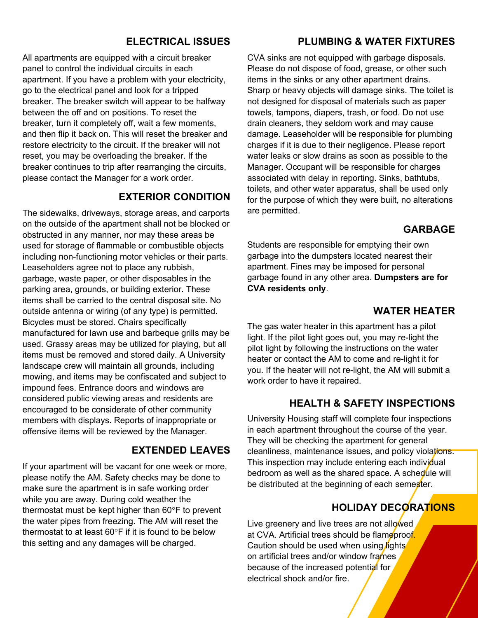#### **ELECTRICAL ISSUES**

All apartments are equipped with a circuit breaker panel to control the individual circuits in each apartment. If you have a problem with your electricity, go to the electrical panel and look for a tripped breaker. The breaker switch will appear to be halfway between the off and on positions. To reset the breaker, turn it completely off, wait a few moments, and then flip it back on. This will reset the breaker and restore electricity to the circuit. If the breaker will not reset, you may be overloading the breaker. If the breaker continues to trip after rearranging the circuits, please contact the Manager for a work order.

#### **EXTERIOR CONDITION**

The sidewalks, driveways, storage areas, and carports on the outside of the apartment shall not be blocked or obstructed in any manner, nor may these areas be used for storage of flammable or combustible objects including non-functioning motor vehicles or their parts. Leaseholders agree not to place any rubbish, garbage, waste paper, or other disposables in the parking area, grounds, or building exterior. These items shall be carried to the central disposal site. No outside antenna or wiring (of any type) is permitted. Bicycles must be stored. Chairs specifically manufactured for lawn use and barbeque grills may be used. Grassy areas may be utilized for playing, but all items must be removed and stored daily. A University landscape crew will maintain all grounds, including mowing, and items may be confiscated and subject to impound fees. Entrance doors and windows are considered public viewing areas and residents are encouraged to be considerate of other community members with displays. Reports of inappropriate or offensive items will be reviewed by the Manager.

#### **EXTENDED LEAVES**

If your apartment will be vacant for one week or more, please notify the AM. Safety checks may be done to make sure the apartment is in safe working order while you are away. During cold weather the thermostat must be kept higher than 60°F to prevent the water pipes from freezing. The AM will reset the thermostat to at least 60°F if it is found to be below this setting and any damages will be charged.

#### **PLUMBING & WATER FIXTURES**

CVA sinks are not equipped with garbage disposals. Please do not dispose of food, grease, or other such items in the sinks or any other apartment drains. Sharp or heavy objects will damage sinks. The toilet is not designed for disposal of materials such as paper towels, tampons, diapers, trash, or food. Do not use drain cleaners, they seldom work and may cause damage. Leaseholder will be responsible for plumbing charges if it is due to their negligence. Please report water leaks or slow drains as soon as possible to the Manager. Occupant will be responsible for charges associated with delay in reporting. Sinks, bathtubs, toilets, and other water apparatus, shall be used only for the purpose of which they were built, no alterations are permitted.

#### **GARBAGE**

Students are responsible for emptying their own garbage into the dumpsters located nearest their apartment. Fines may be imposed for personal garbage found in any other area. **Dumpsters are for CVA residents only**.

#### **WATER HEATER**

The gas water heater in this apartment has a pilot light. If the pilot light goes out, you may re-light the pilot light by following the instructions on the water heater or contact the AM to come and re-light it for you. If the heater will not re-light, the AM will submit a work order to have it repaired.

#### **HEALTH & SAFETY INSPECTIONS**

University Housing staff will complete four inspections in each apartment throughout the course of the year. They will be checking the apartment for general cleanliness, maintenance issues, and policy violations. This inspection may include entering each individual bedroom as well as the shared space. A schedule will be distributed at the beginning of each semester.

### **HOLIDAY DECORATIONS**

Live greenery and live trees are not allowed at CVA. Artificial trees should be flameproof. Caution should be used when using lights on artificial trees and/or window frames because of the increased potential for electrical shock and/or fire.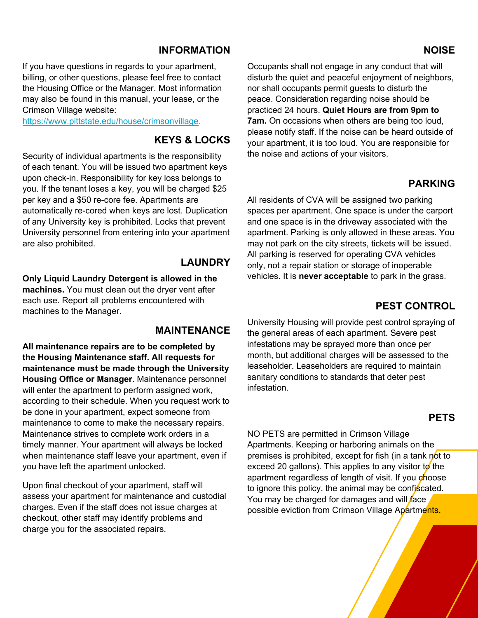#### **INFORMATION**

If you have questions in regards to your apartment, billing, or other questions, please feel free to contact the Housing Office or the Manager. Most information may also be found in this manual, your lease, or the Crimson Village website:

https://www.pittstate.edu/house/crimsonvillage.

#### **KEYS & LOCKS**

Security of individual apartments is the responsibility of each tenant. You will be issued two apartment keys upon check-in. Responsibility for key loss belongs to you. If the tenant loses a key, you will be charged \$25 per key and a \$50 re-core fee. Apartments are automatically re-cored when keys are lost. Duplication of any University key is prohibited. Locks that prevent University personnel from entering into your apartment are also prohibited.

#### **LAUNDRY**

**Only Liquid Laundry Detergent is allowed in the machines.** You must clean out the dryer vent after each use. Report all problems encountered with machines to the Manager.

#### **MAINTENANCE**

**All maintenance repairs are to be completed by the Housing Maintenance staff. All requests for maintenance must be made through the University Housing Office or Manager.** Maintenance personnel will enter the apartment to perform assigned work, according to their schedule. When you request work to be done in your apartment, expect someone from maintenance to come to make the necessary repairs. Maintenance strives to complete work orders in a timely manner. Your apartment will always be locked when maintenance staff leave your apartment, even if you have left the apartment unlocked.

Upon final checkout of your apartment, staff will assess your apartment for maintenance and custodial charges. Even if the staff does not issue charges at checkout, other staff may identify problems and charge you for the associated repairs.

Occupants shall not engage in any conduct that will disturb the quiet and peaceful enjoyment of neighbors, nor shall occupants permit guests to disturb the peace. Consideration regarding noise should be practiced 24 hours. **Quiet Hours are from 9pm to 7am.** On occasions when others are being too loud, please notify staff. If the noise can be heard outside of your apartment, it is too loud. You are responsible for the noise and actions of your visitors.

#### **PARKING**

All residents of CVA will be assigned two parking spaces per apartment. One space is under the carport and one space is in the driveway associated with the apartment. Parking is only allowed in these areas. You may not park on the city streets, tickets will be issued. All parking is reserved for operating CVA vehicles only, not a repair station or storage of inoperable vehicles. It is **never acceptable** to park in the grass.

#### **PEST CONTROL**

University Housing will provide pest control spraying of the general areas of each apartment. Severe pest infestations may be sprayed more than once per month, but additional charges will be assessed to the leaseholder. Leaseholders are required to maintain sanitary conditions to standards that deter pest infestation.

#### **PETS**

NO PETS are permitted in Crimson Village Apartments. Keeping or harboring animals on the premises is prohibited, except for fish (in a tank not to exceed 20 gallons). This applies to any visitor to the apartment regardless of length of visit. If you choose to ignore this policy, the animal may be confiscated. You may be charged for damages and will face possible eviction from Crimson Village Apartments.

#### **NOISE**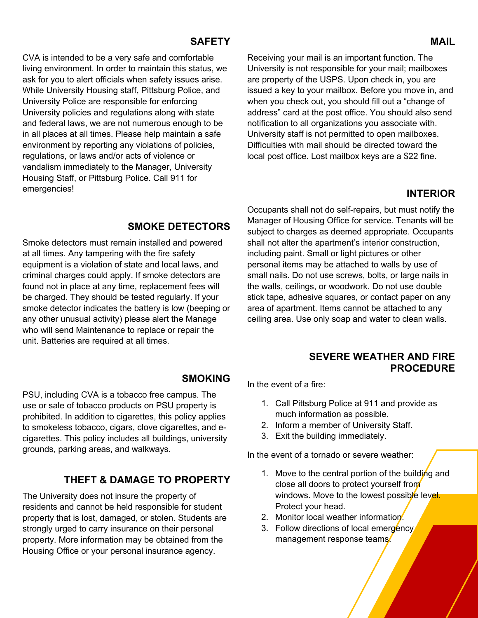#### **SAFETY**

CVA is intended to be a very safe and comfortable living environment. In order to maintain this status, we ask for you to alert officials when safety issues arise. While University Housing staff, Pittsburg Police, and University Police are responsible for enforcing University policies and regulations along with state and federal laws, we are not numerous enough to be in all places at all times. Please help maintain a safe environment by reporting any violations of policies, regulations, or laws and/or acts of violence or vandalism immediately to the Manager, University Housing Staff, or Pittsburg Police. Call 911 for emergencies!

Receiving your mail is an important function. The University is not responsible for your mail; mailboxes are property of the USPS. Upon check in, you are issued a key to your mailbox. Before you move in, and when you check out, you should fill out a "change of address" card at the post office. You should also send notification to all organizations you associate with. University staff is not permitted to open mailboxes. Difficulties with mail should be directed toward the local post office. Lost mailbox keys are a \$22 fine.

#### **INTERIOR**

#### **SMOKE DETECTORS**

Smoke detectors must remain installed and powered at all times. Any tampering with the fire safety equipment is a violation of state and local laws, and criminal charges could apply. If smoke detectors are found not in place at any time, replacement fees will be charged. They should be tested regularly. If your smoke detector indicates the battery is low (beeping or any other unusual activity) please alert the Manage who will send Maintenance to replace or repair the unit. Batteries are required at all times.

#### **SMOKING**

PSU, including CVA is a tobacco free campus. The use or sale of tobacco products on PSU property is prohibited. In addition to cigarettes, this policy applies to smokeless tobacco, cigars, clove cigarettes, and ecigarettes. This policy includes all buildings, university grounds, parking areas, and walkways.

#### **THEFT & DAMAGE TO PROPERTY**

The University does not insure the property of residents and cannot be held responsible for student property that is lost, damaged, or stolen. Students are strongly urged to carry insurance on their personal property. More information may be obtained from the Housing Office or your personal insurance agency.

Occupants shall not do self-repairs, but must notify the Manager of Housing Office for service. Tenants will be subject to charges as deemed appropriate. Occupants shall not alter the apartment's interior construction, including paint. Small or light pictures or other personal items may be attached to walls by use of small nails. Do not use screws, bolts, or large nails in the walls, ceilings, or woodwork. Do not use double stick tape, adhesive squares, or contact paper on any area of apartment. Items cannot be attached to any ceiling area. Use only soap and water to clean walls.

#### **SEVERE WEATHER AND FIRE PROCEDURE**

In the event of a fire:

- 1. Call Pittsburg Police at 911 and provide as much information as possible.
- 2. Inform a member of University Staff.
- 3. Exit the building immediately.

In the event of a tornado or severe weather:

- 1. Move to the central portion of the building and close all doors to protect yourself from windows. Move to the lowest possible level. Protect your head.
- 2. Monitor local weather information.
- 3. Follow directions of local emergency management response teams.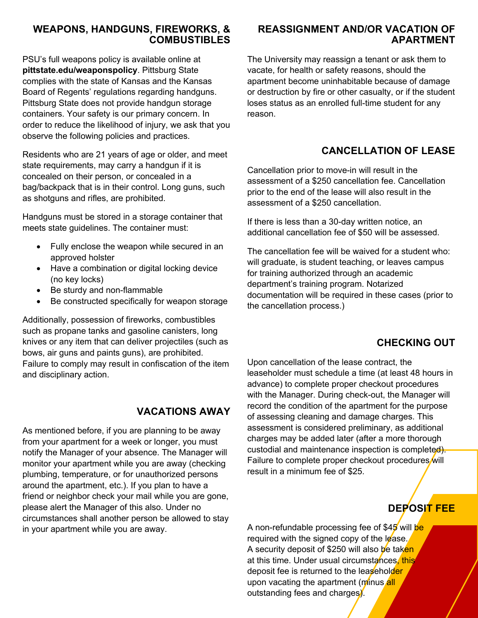#### **WEAPONS, HANDGUNS, FIREWORKS, & COMBUSTIBLES**

PSU's full weapons policy is available online at **pittstate.edu/weaponspolicy**. Pittsburg State complies with the state of Kansas and the Kansas Board of Regents' regulations regarding handguns. Pittsburg State does not provide handgun storage containers. Your safety is our primary concern. In order to reduce the likelihood of injury, we ask that you observe the following policies and practices.

Residents who are 21 years of age or older, and meet state requirements, may carry a handgun if it is concealed on their person, or concealed in a bag/backpack that is in their control. Long guns, such as shotguns and rifles, are prohibited.

Handguns must be stored in a storage container that meets state guidelines. The container must:

- Fully enclose the weapon while secured in an approved holster
- Have a combination or digital locking device (no key locks)
- Be sturdy and non-flammable
- Be constructed specifically for weapon storage

Additionally, possession of fireworks, combustibles such as propane tanks and gasoline canisters, long knives or any item that can deliver projectiles (such as bows, air guns and paints guns), are prohibited. Failure to comply may result in confiscation of the item and disciplinary action.

#### **VACATIONS AWAY**

As mentioned before, if you are planning to be away from your apartment for a week or longer, you must notify the Manager of your absence. The Manager will monitor your apartment while you are away (checking plumbing, temperature, or for unauthorized persons around the apartment, etc.). If you plan to have a friend or neighbor check your mail while you are gone, please alert the Manager of this also. Under no circumstances shall another person be allowed to stay in your apartment while you are away.

#### **REASSIGNMENT AND/OR VACATION OF APARTMENT**

The University may reassign a tenant or ask them to vacate, for health or safety reasons, should the apartment become uninhabitable because of damage or destruction by fire or other casualty, or if the student loses status as an enrolled full-time student for any reason.

# **CANCELLATION OF LEASE**

Cancellation prior to move-in will result in the assessment of a \$250 cancellation fee. Cancellation prior to the end of the lease will also result in the assessment of a \$250 cancellation.

If there is less than a 30-day written notice, an additional cancellation fee of \$50 will be assessed.

The cancellation fee will be waived for a student who: will graduate, is student teaching, or leaves campus for training authorized through an academic department's training program. Notarized documentation will be required in these cases (prior to the cancellation process.)

# **CHECKING OUT**

Upon cancellation of the lease contract, the leaseholder must schedule a time (at least 48 hours in advance) to complete proper checkout procedures with the Manager. During check-out, the Manager will record the condition of the apartment for the purpose of assessing cleaning and damage charges. This assessment is considered preliminary, as additional charges may be added later (after a more thorough custodial and maintenance inspection is completed). Failure to complete proper checkout procedures will result in a minimum fee of \$25.

# **DEPOSIT FEE**

A non-refundable processing fee of \$45 will be required with the signed copy of the lease. A security deposit of \$250 will also be taken at this time. Under usual circumstances, this deposit fee is returned to the leaseholder upon vacating the apartment (minus all outstanding fees and charges).